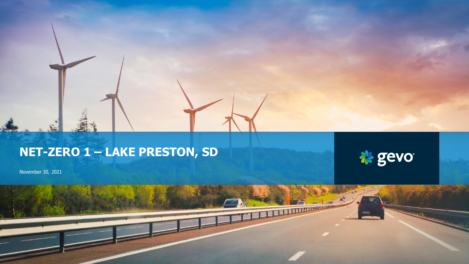# **NET-ZERO 1 – LAKE PRESTON, SD**



THE LITTLE CHARGE

November 30, 2021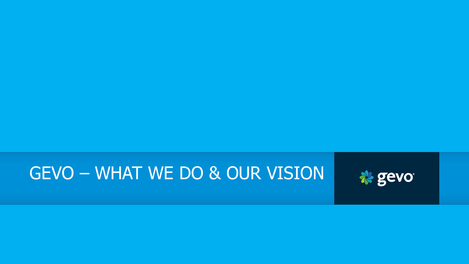# GEVO – WHAT WE DO & OUR VISION

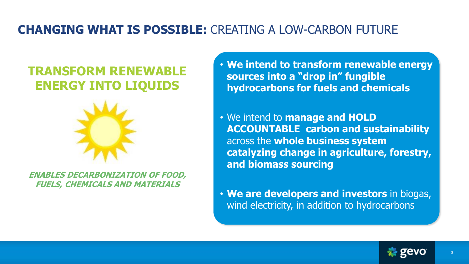### **CHANGING WHAT IS POSSIBLE:** CREATING A LOW-CARBON FUTURE

## **TRANSFORM RENEWABLE ENERGY INTO LIQUIDS**



**ENABLES DECARBONIZATION OF FOOD, FUELS, CHEMICALS AND MATERIALS**

• **We intend to transform renewable energy sources into a "drop in" fungible hydrocarbons for fuels and chemicals**

• We intend to **manage and HOLD ACCOUNTABLE carbon and sustainability**  across the **whole business system catalyzing change in agriculture, forestry, and biomass sourcing**

• **We are developers and investors** in biogas, wind electricity, in addition to hydrocarbons

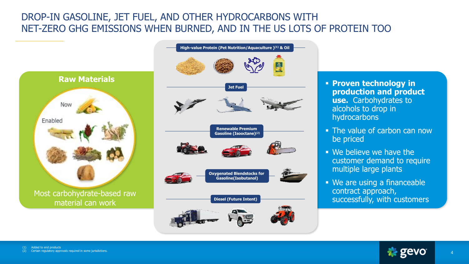### DROP-IN GASOLINE, JET FUEL, AND OTHER HYDROCARBONS WITH NET-ZERO GHG EMISSIONS WHEN BURNED, AND IN THE US LOTS OF PROTEIN TOO



Most carbohydrate-based raw material can work



- **Proven technology in production and product use.** Carbohydrates to alcohols to drop in **hydrocarbons**
- The value of carbon can now be priced
- We believe we have the customer demand to require multiple large plants
- We are using a financeable contract approach, successfully, with customers

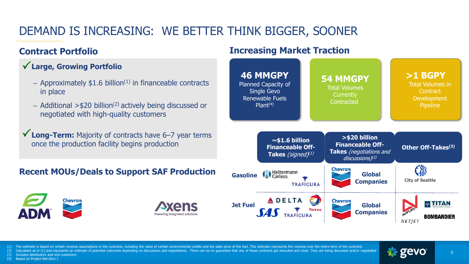### DEMAND IS INCREASING: WE BETTER THINK BIGGER, SOONER

#### **Contract Portfolio**

#### • **Large, Growing Portfolio** P

- Approximately  $$1.6$  billion<sup> $(1)$ </sup> in financeable contracts in place
- Additional  $>$ \$20 billion<sup>(2)</sup> actively being discussed or negotiated with high-quality customers
- √ Long-Term: Majority of contracts have 6-7 year terms once the production facility begins production

#### **Recent MOUs/Deals to Support SAF Production**





#### **Increasing Market Traction**



(1) The estimate is based on certain revenue assumptions in the contracts, including the value of certain environmental credits and the sales price of the fuel. This estimate represents the revenue over the entire term of

(2) Calculated as in (1) and represents an estimate of potential outcomes depending on discussions and negotiations. There can be no guarantee that any of these contracts get executed and close. They are being discussed an

(3) Includes distributors and end customers

(4) Based on Project Net-Zero 1

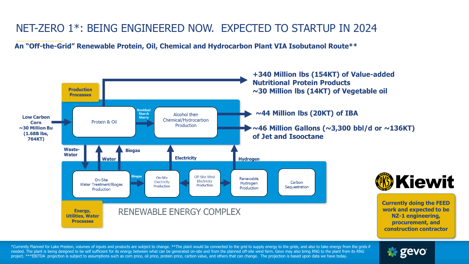### NET-ZERO 1\*: BEING ENGINEERED NOW. EXPECTED TO STARTUP IN 2024

**An "Off-the-Grid" Renewable Protein, Oil, Chemical and Hydrocarbon Plant VIA Isobutanol Route\*\***



\*Currently Planned for Lake Preston, volumes of inputs and products are subject to change. \*\*The plant would be connected to the grid to supply energy to the grids, and also to take energy from the grids if needed. The plant is being designed to be self sufficient for its energy between what can be generated on-site and from the planned off-site wind farm. Gevo may also bring RNG to the plant from its RNG project. \*\*\*EBITDA projection is subject to assumptions such as corn price, oil price, protein price, carbon value, and others that can change. The projection is based upon data we have today.

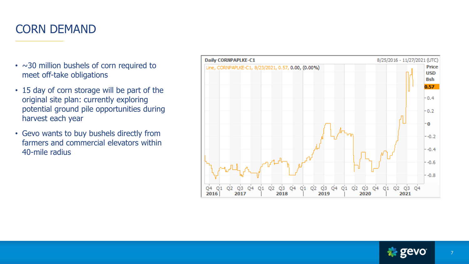### CORN DEMAND

- $\cdot$  ~30 million bushels of corn required to meet off-take obligations
- 15 day of corn storage will be part of the original site plan: currently exploring potential ground pile opportunities during harvest each year
- Gevo wants to buy bushels directly from farmers and commercial elevators within 40-mile radius